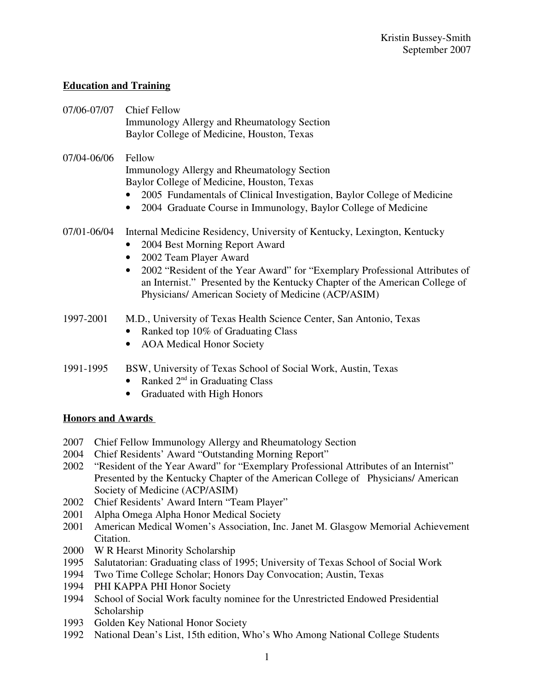# **Education and Training**

- 07/06-07/07 Chief Fellow Immunology Allergy and Rheumatology Section Baylor College of Medicine, Houston, Texas
- 07/04-06/06 Fellow Immunology Allergy and Rheumatology Section Baylor College of Medicine, Houston, Texas
	- 2005 Fundamentals of Clinical Investigation, Baylor College of Medicine
	- 2004 Graduate Course in Immunology, Baylor College of Medicine

# 07/01-06/04 Internal Medicine Residency, University of Kentucky, Lexington, Kentucky

- 2004 Best Morning Report Award
- 2002 Team Player Award
- 2002 "Resident of the Year Award" for "Exemplary Professional Attributes of an Internist." Presented by the Kentucky Chapter of the American College of Physicians/ American Society of Medicine (ACP/ASIM)

# 1997-2001 M.D., University of Texas Health Science Center, San Antonio, Texas

- Ranked top 10% of Graduating Class
- AOA Medical Honor Society
- 1991-1995 BSW, University of Texas School of Social Work, Austin, Texas
	- Ranked  $2<sup>nd</sup>$  in Graduating Class
	- Graduated with High Honors

### **Honors and Awards**

- 2007 Chief Fellow Immunology Allergy and Rheumatology Section
- 2004 Chief Residents' Award "Outstanding Morning Report"
- 2002 "Resident of the Year Award" for "Exemplary Professional Attributes of an Internist" Presented by the Kentucky Chapter of the American College of Physicians/ American Society of Medicine (ACP/ASIM)
- 2002 Chief Residents' Award Intern "Team Player"
- 2001 Alpha Omega Alpha Honor Medical Society
- 2001 American Medical Women's Association, Inc. Janet M. Glasgow Memorial Achievement Citation.
- 2000 W R Hearst Minority Scholarship
- 1995 Salutatorian: Graduating class of 1995; University of Texas School of Social Work
- 1994 Two Time College Scholar; Honors Day Convocation; Austin, Texas
- 1994 PHI KAPPA PHI Honor Society
- 1994 School of Social Work faculty nominee for the Unrestricted Endowed Presidential Scholarship
- 1993 Golden Key National Honor Society
- 1992 National Dean's List, 15th edition, Who's Who Among National College Students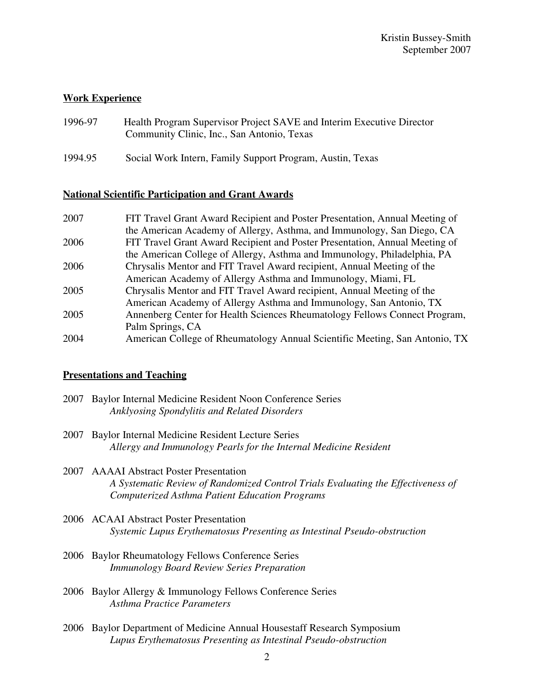# **Work Experience**

- 1996-97 Health Program Supervisor Project SAVE and Interim Executive Director Community Clinic, Inc., San Antonio, Texas
- 1994.95 Social Work Intern, Family Support Program, Austin, Texas

# **National Scientific Participation and Grant Awards**

| 2007 | FIT Travel Grant Award Recipient and Poster Presentation, Annual Meeting of |
|------|-----------------------------------------------------------------------------|
|      | the American Academy of Allergy, Asthma, and Immunology, San Diego, CA      |
| 2006 | FIT Travel Grant Award Recipient and Poster Presentation, Annual Meeting of |
|      | the American College of Allergy, Asthma and Immunology, Philadelphia, PA    |
| 2006 | Chrysalis Mentor and FIT Travel Award recipient, Annual Meeting of the      |
|      | American Academy of Allergy Asthma and Immunology, Miami, FL                |
| 2005 | Chrysalis Mentor and FIT Travel Award recipient, Annual Meeting of the      |
|      | American Academy of Allergy Asthma and Immunology, San Antonio, TX          |
| 2005 | Annenberg Center for Health Sciences Rheumatology Fellows Connect Program,  |
|      | Palm Springs, CA                                                            |
| 2004 | American College of Rheumatology Annual Scientific Meeting, San Antonio, TX |

### **Presentations and Teaching**

| 2007 Baylor Internal Medicine Resident Noon Conference Series |
|---------------------------------------------------------------|
| Anklyosing Spondylitis and Related Disorders                  |

- 2007 Baylor Internal Medicine Resident Lecture Series *Allergy and Immunology Pearls for the Internal Medicine Resident*
- 2007 AAAAI Abstract Poster Presentation *A Systematic Review of Randomized Control Trials Evaluating the Effectiveness of Computerized Asthma Patient Education Programs*
- 2006 ACAAI Abstract Poster Presentation *Systemic Lupus Erythematosus Presenting as Intestinal Pseudo-obstruction*
- 2006 Baylor Rheumatology Fellows Conference Series *Immunology Board Review Series Preparation*
- 2006 Baylor Allergy & Immunology Fellows Conference Series *Asthma Practice Parameters*
- 2006 Baylor Department of Medicine Annual Housestaff Research Symposium *Lupus Erythematosus Presenting as Intestinal Pseudo-obstruction*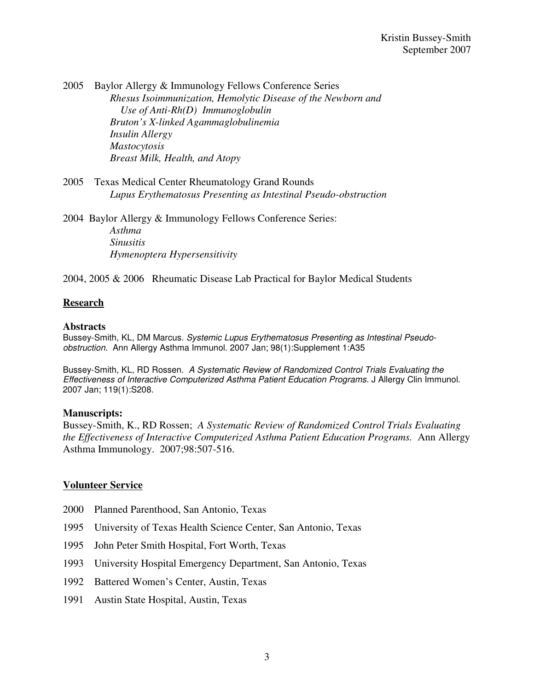2005 Baylor Allergy & Immunology Fellows Conference Series *Rhesus Isoimmunization, Hemolytic Disease of the Newborn and Use of Anti-Rh(D) Immunoglobulin Bruton's X-linked Agammaglobulinemia Insulin Allergy Mastocytosis Breast Milk, Health, and Atopy*

2005 Texas Medical Center Rheumatology Grand Rounds *Lupus Erythematosus Presenting as Intestinal Pseudo-obstruction*

2004 Baylor Allergy & Immunology Fellows Conference Series: *Asthma Sinusitis Hymenoptera Hypersensitivity*

2004, 2005 & 2006 Rheumatic Disease Lab Practical for Baylor Medical Students

### **Research**

#### **Abstracts**

Bussey-Smith, KL, DM Marcus. Systemic Lupus Erythematosus Presenting as Intestinal Pseudoobstruction. Ann Allergy Asthma Immunol. 2007 Jan; 98(1):Supplement 1:A35

Bussey-Smith, KL, RD Rossen. A Systematic Review of Randomized Control Trials Evaluating the Effectiveness of Interactive Computerized Asthma Patient Education Programs. J Allergy Clin Immunol. 2007 Jan; 119(1):S208.

#### **Manuscripts:**

Bussey-Smith, K., RD Rossen; *A Systematic Review of Randomized Control Trials Evaluating the Effectiveness of Interactive Computerized Asthma Patient Education Programs.* Ann Allergy Asthma Immunology. 2007;98:507-516.

#### **Volunteer Service**

- 2000 Planned Parenthood, San Antonio, Texas
- 1995 University of Texas Health Science Center, San Antonio, Texas
- 1995 John Peter Smith Hospital, Fort Worth, Texas
- 1993 University Hospital Emergency Department, San Antonio, Texas
- 1992 Battered Women's Center, Austin, Texas
- 1991 Austin State Hospital, Austin, Texas